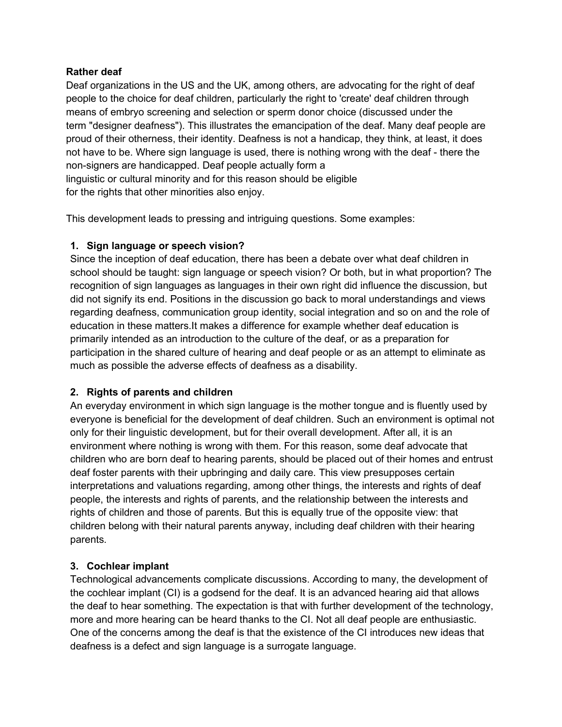## **Rather deaf**

Deaf organizations in the US and the UK, among others, are advocating for the right of deaf people to the choice for deaf children, particularly the right to 'create' deaf children through means of embryo screening and selection or sperm donor choice (discussed under the term "designer deafness"). This illustrates the emancipation of the deaf. Many deaf people are proud of their otherness, their identity. Deafness is not a handicap, they think, at least, it does not have to be. Where sign language is used, there is nothing wrong with the deaf - there the non-signers are handicapped. Deaf people actually form a linguistic or cultural minority and for this reason should be eligible for the rights that other minorities also enjoy.

This development leads to pressing and intriguing questions. Some examples:

## **1. Sign language or speech vision?**

Since the inception of deaf education, there has been a debate over what deaf children in school should be taught: sign language or speech vision? Or both, but in what proportion? The recognition of sign languages as languages in their own right did influence the discussion, but did not signify its end. Positions in the discussion go back to moral understandings and views regarding deafness, communication group identity, social integration and so on and the role of education in these matters.It makes a difference for example whether deaf education is primarily intended as an introduction to the culture of the deaf, or as a preparation for participation in the shared culture of hearing and deaf people or as an attempt to eliminate as much as possible the adverse effects of deafness as a disability.

## **2. Rights of parents and children**

An everyday environment in which sign language is the mother tongue and is fluently used by everyone is beneficial for the development of deaf children. Such an environment is optimal not only for their linguistic development, but for their overall development. After all, it is an environment where nothing is wrong with them. For this reason, some deaf advocate that children who are born deaf to hearing parents, should be placed out of their homes and entrust deaf foster parents with their upbringing and daily care. This view presupposes certain interpretations and valuations regarding, among other things, the interests and rights of deaf people, the interests and rights of parents, and the relationship between the interests and rights of children and those of parents. But this is equally true of the opposite view: that children belong with their natural parents anyway, including deaf children with their hearing parents.

## **3. Cochlear implant**

Technological advancements complicate discussions. According to many, the development of the cochlear implant (CI) is a godsend for the deaf. It is an advanced hearing aid that allows the deaf to hear something. The expectation is that with further development of the technology, more and more hearing can be heard thanks to the CI. Not all deaf people are enthusiastic. One of the concerns among the deaf is that the existence of the CI introduces new ideas that deafness is a defect and sign language is a surrogate language.